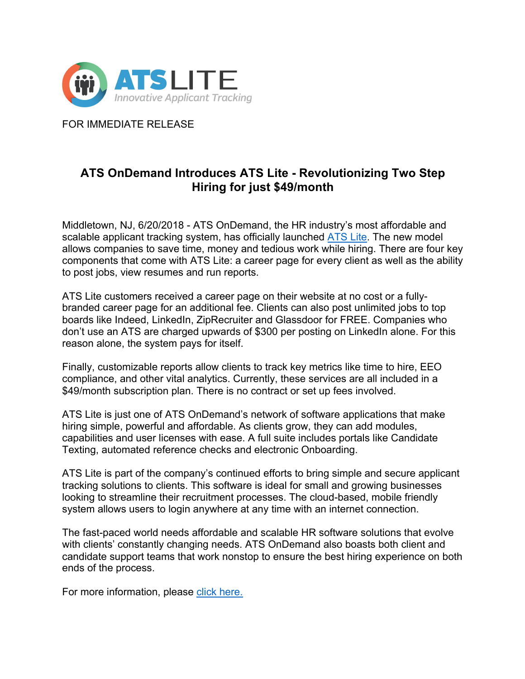

FOR IMMEDIATE RELEASE

# **ATS OnDemand Introduces ATS Lite - Revolutionizing Two Step Hiring for just \$49/month**

Middletown, NJ, 6/20/2018 - ATS OnDemand, the HR industry's most affordable and scalable applicant tracking system, has officially launched ATS Lite. The new model allows companies to save time, money and tedious work while hiring. There are four key components that come with ATS Lite: a career page for every client as well as the ability to post jobs, view resumes and run reports.

ATS Lite customers received a career page on their website at no cost or a fullybranded career page for an additional fee. Clients can also post unlimited jobs to top boards like Indeed, LinkedIn, ZipRecruiter and Glassdoor for FREE. Companies who don't use an ATS are charged upwards of \$300 per posting on LinkedIn alone. For this reason alone, the system pays for itself.

Finally, customizable reports allow clients to track key metrics like time to hire, EEO compliance, and other vital analytics. Currently, these services are all included in a \$49/month subscription plan. There is no contract or set up fees involved.

ATS Lite is just one of ATS OnDemand's network of software applications that make hiring simple, powerful and affordable. As clients grow, they can add modules, capabilities and user licenses with ease. A full suite includes portals like Candidate Texting, automated reference checks and electronic Onboarding.

ATS Lite is part of the company's continued efforts to bring simple and secure applicant tracking solutions to clients. This software is ideal for small and growing businesses looking to streamline their recruitment processes. The cloud-based, mobile friendly system allows users to login anywhere at any time with an internet connection.

The fast-paced world needs affordable and scalable HR software solutions that evolve with clients' constantly changing needs. ATS OnDemand also boasts both client and candidate support teams that work nonstop to ensure the best hiring experience on both ends of the process.

For more information, please click here.